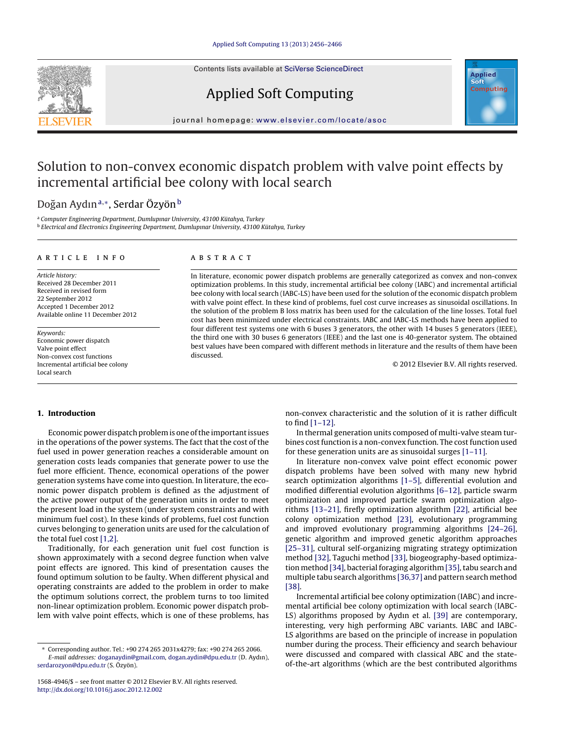Contents lists available at SciVerse [ScienceDirect](http://www.sciencedirect.com/science/journal/15684946)

# Applied Soft Computing



iournal homepage: <www.elsevier.com/locate/asoc>

### Solution to non-convex economic dispatch problem with valve point effects by incremental artificial bee colony with local search

### Doğan Aydın<sup>a,∗</sup>, Serdar Özyön<sup>b</sup>

a Computer Engineering Department, Dumlupınar University, 43100 Kütahya, Turkey

<sup>b</sup> Electrical and Electronics Engineering Department, Dumlupınar University, 43100 Kütahya, Turkey

#### a r t i c l e i n f o

Article history: Received 28 December 2011 Received in revised form 22 September 2012 Accepted 1 December 2012 Available online 11 December 2012

Keywords: Economic power dispatch Valve point effect Non-convex cost functions Incremental artificial bee colony Local search

#### A B S T R A C T

In literature, economic power dispatch problems are generally categorized as convex and non-convex optimization problems. In this study, incremental artificial bee colony (IABC) and incremental artificial bee colony with local search (IABC-LS) have been used for the solution of the economic dispatch problem with valve point effect. In these kind of problems, fuel cost curve increases as sinusoidal oscillations. In the solution of the problem B loss matrix has been used for the calculation of the line losses. Total fuel cost has been minimized under electrical constraints. IABC and IABC-LS methods have been applied to four different test systems one with 6 buses 3 generators, the other with 14 buses 5 generators (IEEE), the third one with 30 buses 6 generators (IEEE) and the last one is 40-generator system. The obtained best values have been compared with different methods in literature and the results of them have been discussed.

© 2012 Elsevier B.V. All rights reserved.

#### **1. Introduction**

Economic power dispatch problem is one of the important issues in the operations of the power systems. The fact that the cost of the fuel used in power generation reaches a considerable amount on generation costs leads companies that generate power to use the fuel more efficient. Thence, economical operations of the power generation systems have come into question. In literature, the economic power dispatch problem is defined as the adjustment of the active power output of the generation units in order to meet the present load in the system (under system constraints and with minimum fuel cost). In these kinds of problems, fuel cost function curves belonging to generation units are used for the calculation of the total fuel cost [\[1,2\].](#page--1-0)

Traditionally, for each generation unit fuel cost function is shown approximately with a second degree function when valve point effects are ignored. This kind of presentation causes the found optimum solution to be faulty. When different physical and operating constraints are added to the problem in order to make the optimum solutions correct, the problem turns to too limited non-linear optimization problem. Economic power dispatch problem with valve point effects, which is one of these problems, has non-convex characteristic and the solution of it is rather difficult to find [\[1–12\].](#page--1-0)

In thermal generation units composed of multi-valve steam turbines cost function is a non-convex function. The cost function used for these generation units are as sinusoidal surges [\[1–11\].](#page--1-0)

In literature non-convex valve point effect economic power dispatch problems have been solved with many new hybrid search optimization algorithms [\[1–5\],](#page--1-0) differential evolution and modified differential evolution algorithms [\[6–12\],](#page--1-0) particle swarm optimization and improved particle swarm optimization algorithms [\[13–21\],](#page--1-0) firefly optimization algorithm [\[22\],](#page--1-0) artificial bee colony optimization method [\[23\],](#page--1-0) evolutionary programming and improved evolutionary programming algorithms [\[24–26\],](#page--1-0) genetic algorithm and improved genetic algorithm approaches [\[25–31\],](#page--1-0) cultural self-organizing migrating strategy optimization method [\[32\],](#page--1-0) Taguchi method [\[33\],](#page--1-0) biogeography-based optimiza-tion method [\[34\],](#page--1-0) bacterial foraging algorithm [35], tabu search and multiple tabu search algorithms [\[36,37\]](#page--1-0) and pattern search method [\[38\].](#page--1-0)

Incremental artificial bee colony optimization (IABC) and incremental artificial bee colony optimization with local search (IABC-LS) algorithms proposed by Aydın et al. [\[39\]](#page--1-0) are contemporary, interesting, very high performing ABC variants. IABC and IABC-LS algorithms are based on the principle of increase in population number during the process. Their efficiency and search behaviour were discussed and compared with classical ABC and the stateof-the-art algorithms (which are the best contributed algorithms



<sup>∗</sup> Corresponding author. Tel.: +90 274 265 2031x4279; fax: +90 274 265 2066. E-mail addresses: [doganaydin@gmail.com,](mailto:doganaydin@gmail.com) [dogan.aydin@dpu.edu.tr](mailto:dogan.aydin@dpu.edu.tr) (D. Aydın), [serdarozyon@dpu.edu.tr](mailto:serdarozyon@dpu.edu.tr) (S. Özyön).

<sup>1568-4946/\$</sup> – see front matter © 2012 Elsevier B.V. All rights reserved. [http://dx.doi.org/10.1016/j.asoc.2012.12.002](dx.doi.org/10.1016/j.asoc.2012.12.002)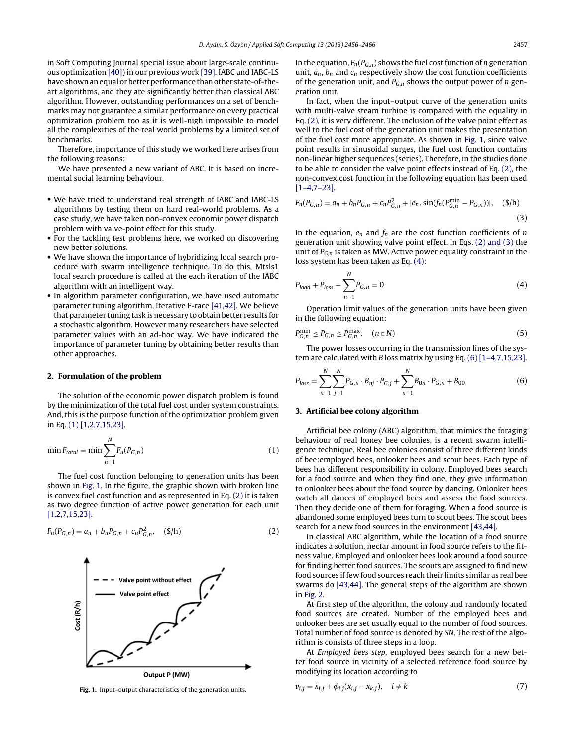in Soft Computing Journal special issue about large-scale continuous optimization [\[40\]\)](#page--1-0) in our previous work [\[39\].](#page--1-0) IABC and IABC-LS have shown an equal or better performance than other state-of-theart algorithms, and they are significantly better than classical ABC algorithm. However, outstanding performances on a set of benchmarks may not guarantee a similar performance on every practical optimization problem too as it is well-nigh impossible to model all the complexities of the real world problems by a limited set of benchmarks.

Therefore, importance of this study we worked here arises from the following reasons:

We have presented a new variant of ABC. It is based on incremental social learning behaviour.

- We have tried to understand real strength of IABC and IABC-LS algorithms by testing them on hard real-world problems. As a case study, we have taken non-convex economic power dispatch problem with valve-point effect for this study.
- For the tackling test problems here, we worked on discovering new better solutions.
- We have shown the importance of hybridizing local search procedure with swarm intelligence technique. To do this, Mtsls1 local search procedure is called at the each iteration of the IABC algorithm with an intelligent way.
- In algorithm parameter configuration, we have used automatic parameter tuning algorithm, Iterative F-race [\[41,42\].](#page--1-0) We believe that parameter tuning task is necessary to obtain better results for a stochastic algorithm. However many researchers have selected parameter values with an ad-hoc way. We have indicated the importance of parameter tuning by obtaining better results than other approaches.

#### **2. Formulation of the problem**

The solution of the economic power dispatch problem is found by the minimization of the total fuel cost under system constraints. And, this is the purpose function of the optimization problem given in Eq. (1) [\[1,2,7,15,23\].](#page--1-0)

$$
\min F_{total} = \min \sum_{n=1}^{N} F_n(P_{G,n})
$$
\n(1)

The fuel cost function belonging to generation units has been shown in Fig. 1. In the figure, the graphic shown with broken line is convex fuel cost function and as represented in Eq. (2) it is taken as two degree function of active power generation for each unit [\[1,2,7,15,23\].](#page--1-0)

$$
F_n(P_{G,n}) = a_n + b_n P_{G,n} + c_n P_{G,n}^2, \quad (\$/\text{h})
$$
 (2)



**Fig. 1.** Input–output characteristics of the generation units.

In the equation,  $F_n(P_{G,n})$  shows the fuel cost function of n generation unit,  $a_n$ ,  $b_n$  and  $c_n$  respectively show the cost function coefficients of the generation unit, and  $P_{G,n}$  shows the output power of *n* generation unit.

In fact, when the input–output curve of the generation units with multi-valve steam turbine is compared with the equality in Eq. (2), it is very different. The inclusion of the valve point effect as well to the fuel cost of the generation unit makes the presentation of the fuel cost more appropriate. As shown in Fig. 1, since valve point results in sinusoidal surges, the fuel cost function contains non-linear higher sequences (series). Therefore, in the studies done to be able to consider the valve point effects instead of Eq. (2), the non-convex cost function in the following equation has been used [\[1–4,7–23\].](#page--1-0)

$$
F_n(P_{G,n}) = a_n + b_n P_{G,n} + c_n P_{G,n}^2 + |e_n \cdot \sin(f_n(P_{G,n}^{\min} - P_{G,n}))|, \quad (\$\hbar\text{)}\tag{3}
$$

In the equation,  $e_n$  and  $f_n$  are the cost function coefficients of n generation unit showing valve point effect. In Eqs. (2) and (3) the unit of  $P_{G,n}$  is taken as MW. Active power equality constraint in the loss system has been taken as Eq. (4):

$$
P_{load} + P_{loss} - \sum_{n=1}^{N} P_{G,n} = 0
$$
\n(4)

Operation limit values of the generation units have been given in the following equation:

$$
P_{G,n}^{\min} \le P_{G,n} \le P_{G,n}^{\max}, \quad (n \in N)
$$
\n
$$
(5)
$$

The power losses occurring in the transmission lines of the system are calculated with *B* loss matrix by using Eq.  $(6)$  [1-4,7,15,23].

$$
P_{loss} = \sum_{n=1}^{N} \sum_{j=1}^{N} P_{G,n} \cdot B_{nj} \cdot P_{G,j} + \sum_{n=1}^{N} B_{0n} \cdot P_{G,n} + B_{00}
$$
(6)

#### **3. Artificial bee colony algorithm**

Artificial bee colony (ABC) algorithm, that mimics the foraging behaviour of real honey bee colonies, is a recent swarm intelligence technique. Real bee colonies consist of three different kinds of bee:employed bees, onlooker bees and scout bees. Each type of bees has different responsibility in colony. Employed bees search for a food source and when they find one, they give information to onlooker bees about the food source by dancing. Onlooker bees watch all dances of employed bees and assess the food sources. Then they decide one of them for foraging. When a food source is abandoned some employed bees turn to scout bees. The scout bees search for a new food sources in the environment [\[43,44\].](#page--1-0)

In classical ABC algorithm, while the location of a food source indicates a solution, nectar amount in food source refers to the fitness value. Employed and onlooker bees look around a food source for finding better food sources. The scouts are assigned to find new food sources iffew food sources reach their limits similar as real bee swarms do [\[43,44\].](#page--1-0) The general steps of the algorithm are shown in [Fig.](#page--1-0) 2.

At first step of the algorithm, the colony and randomly located food sources are created. Number of the employed bees and onlooker bees are set usually equal to the number of food sources. Total number of food source is denoted by SN. The rest of the algorithm is consists of three steps in a loop.

At Employed bees step, employed bees search for a new better food source in vicinity of a selected reference food source by modifying its location according to

$$
v_{i,j} = x_{i,j} + \phi_{i,j}(x_{i,j} - x_{k,j}), \quad i \neq k
$$
 (7)